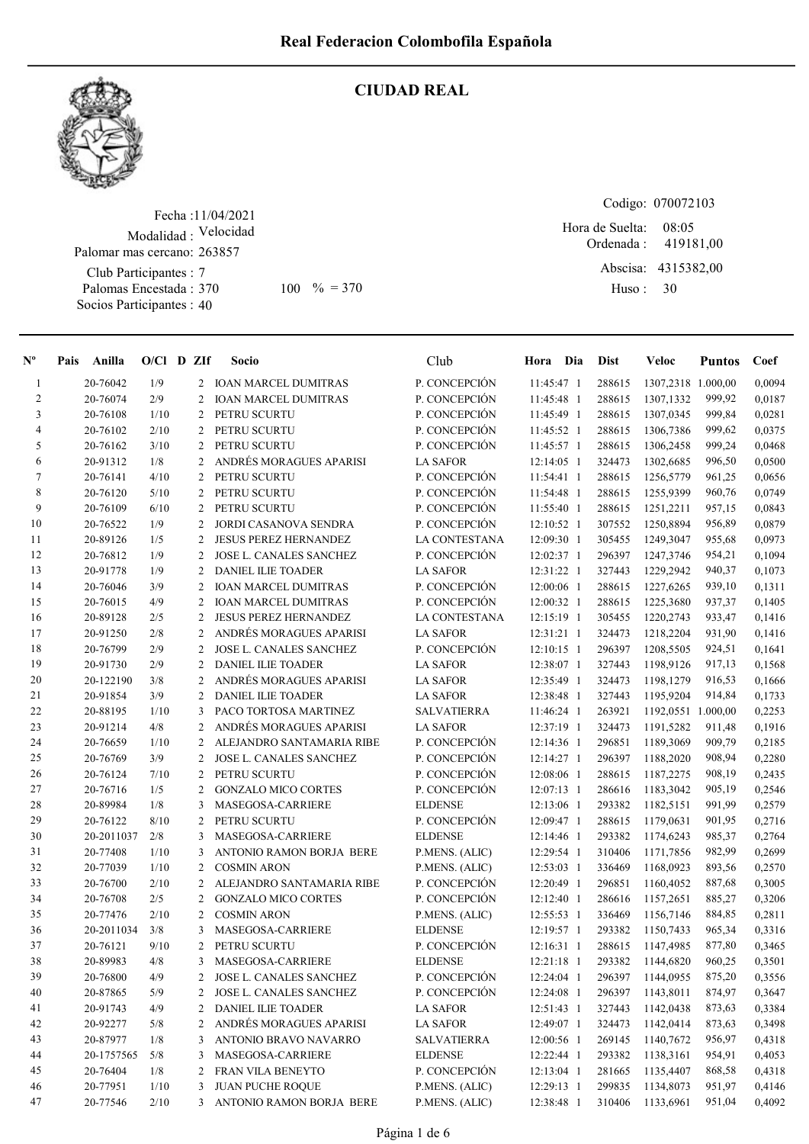

#### CIUDAD REAL

Fecha : 11/04/2021 Modalidad : Velocidad Club Participantes : 7 Palomas Encestada : Palomar mas cercano: 263857

Socios Participantes : 40

Codigo: 070072103

Ordenada : Abscisa: 4315382,00 Huso : 08:05  $100 \, \textdegree\% = 370$  Huso: 30 Hora de Suelta: 419181,00

| $N^{\circ}$    | Pais | Anilla     | $O/Cl$ D ZIf |   | Socio                        | Club               | Hora Dia     | <b>Dist</b> | Veloc              | <b>Puntos</b> | Coef   |
|----------------|------|------------|--------------|---|------------------------------|--------------------|--------------|-------------|--------------------|---------------|--------|
| 1              |      | 20-76042   | 1/9          | 2 | <b>IOAN MARCEL DUMITRAS</b>  | P. CONCEPCIÓN      | 11:45:47 1   | 288615      | 1307,2318 1.000,00 |               | 0,0094 |
| $\overline{2}$ |      | 20-76074   | 2/9          | 2 | <b>IOAN MARCEL DUMITRAS</b>  | P. CONCEPCIÓN      | 11:45:48 1   | 288615      | 1307,1332          | 999,92        | 0,0187 |
| 3              |      | 20-76108   | 1/10         | 2 | PETRU SCURTU                 | P. CONCEPCIÓN      | 11:45:49 1   | 288615      | 1307,0345          | 999,84        | 0,0281 |
| 4              |      | 20-76102   | 2/10         | 2 | PETRU SCURTU                 | P. CONCEPCIÓN      | 11:45:52 1   | 288615      | 1306,7386          | 999,62        | 0,0375 |
| 5              |      | 20-76162   | 3/10         | 2 | PETRU SCURTU                 | P. CONCEPCIÓN      | 11:45:57 1   | 288615      | 1306,2458          | 999,24        | 0,0468 |
| 6              |      | 20-91312   | 1/8          | 2 | ANDRÉS MORAGUES APARISI      | <b>LA SAFOR</b>    | 12:14:05 1   | 324473      | 1302,6685          | 996,50        | 0,0500 |
| 7              |      | 20-76141   | 4/10         | 2 | PETRU SCURTU                 | P. CONCEPCIÓN      | 11:54:41 1   | 288615      | 1256,5779          | 961,25        | 0,0656 |
| $\,8\,$        |      | 20-76120   | 5/10         | 2 | PETRU SCURTU                 | P. CONCEPCIÓN      | 11:54:48 1   | 288615      | 1255,9399          | 960,76        | 0,0749 |
| 9              |      | 20-76109   | 6/10         | 2 | PETRU SCURTU                 | P. CONCEPCIÓN      | 11:55:40 1   | 288615      | 1251,2211          | 957,15        | 0,0843 |
| 10             |      | 20-76522   | 1/9          | 2 | JORDI CASANOVA SENDRA        | P. CONCEPCIÓN      | 12:10:52 1   | 307552      | 1250,8894          | 956,89        | 0,0879 |
| 11             |      | 20-89126   | 1/5          | 2 | <b>JESUS PEREZ HERNANDEZ</b> | LA CONTESTANA      | 12:09:30 1   | 305455      | 1249,3047          | 955,68        | 0,0973 |
| 12             |      | 20-76812   | 1/9          | 2 | JOSE L. CANALES SANCHEZ      | P. CONCEPCIÓN      | 12:02:37 1   | 296397      | 1247,3746          | 954,21        | 0,1094 |
| 13             |      | 20-91778   | 1/9          | 2 | <b>DANIEL ILIE TOADER</b>    | <b>LA SAFOR</b>    | 12:31:22 1   | 327443      | 1229,2942          | 940,37        | 0,1073 |
| 14             |      | 20-76046   | 3/9          | 2 | <b>IOAN MARCEL DUMITRAS</b>  | P. CONCEPCIÓN      | 12:00:06 1   | 288615      | 1227,6265          | 939,10        | 0,1311 |
| 15             |      | 20-76015   | 4/9          | 2 | <b>IOAN MARCEL DUMITRAS</b>  | P. CONCEPCIÓN      | 12:00:32 1   | 288615      | 1225,3680          | 937,37        | 0,1405 |
| 16             |      | 20-89128   | 2/5          | 2 | <b>JESUS PEREZ HERNANDEZ</b> | LA CONTESTANA      | 12:15:19 1   | 305455      | 1220,2743          | 933,47        | 0,1416 |
| 17             |      | 20-91250   | 2/8          | 2 | ANDRÉS MORAGUES APARISI      | <b>LA SAFOR</b>    | 12:31:21 1   | 324473      | 1218,2204          | 931,90        | 0,1416 |
| 18             |      | 20-76799   | 2/9          | 2 | JOSE L. CANALES SANCHEZ      | P. CONCEPCIÓN      | $12:10:15$ 1 | 296397      | 1208,5505          | 924,51        | 0,1641 |
| 19             |      | 20-91730   | 2/9          | 2 | <b>DANIEL ILIE TOADER</b>    | <b>LA SAFOR</b>    | 12:38:07 1   | 327443      | 1198,9126          | 917,13        | 0,1568 |
| $20\,$         |      | 20-122190  | 3/8          | 2 | ANDRÉS MORAGUES APARISI      | <b>LA SAFOR</b>    | 12:35:49 1   | 324473      | 1198,1279          | 916,53        | 0,1666 |
| 21             |      | 20-91854   | 3/9          | 2 | <b>DANIEL ILIE TOADER</b>    | <b>LA SAFOR</b>    | 12:38:48 1   | 327443      | 1195,9204          | 914,84        | 0,1733 |
| 22             |      | 20-88195   | 1/10         | 3 | PACO TORTOSA MARTINEZ        | <b>SALVATIERRA</b> | 11:46:24 1   | 263921      | 1192,0551 1.000,00 |               | 0,2253 |
| 23             |      | 20-91214   | 4/8          | 2 | ANDRÉS MORAGUES APARISI      | <b>LA SAFOR</b>    | 12:37:19 1   | 324473      | 1191,5282          | 911,48        | 0,1916 |
| 24             |      | 20-76659   | 1/10         | 2 | ALEJANDRO SANTAMARIA RIBE    | P. CONCEPCIÓN      | 12:14:36 1   | 296851      | 1189,3069          | 909,79        | 0,2185 |
| 25             |      | 20-76769   | 3/9          | 2 | JOSE L. CANALES SANCHEZ      | P. CONCEPCIÓN      | 12:14:27 1   | 296397      | 1188,2020          | 908,94        | 0,2280 |
| 26             |      | 20-76124   | 7/10         | 2 | PETRU SCURTU                 | P. CONCEPCIÓN      | 12:08:06 1   | 288615      | 1187,2275          | 908,19        | 0,2435 |
| 27             |      | 20-76716   | 1/5          | 2 | <b>GONZALO MICO CORTES</b>   | P. CONCEPCIÓN      | 12:07:13 1   | 286616      | 1183,3042          | 905,19        | 0,2546 |
| 28             |      | 20-89984   | 1/8          | 3 | MASEGOSA-CARRIERE            | <b>ELDENSE</b>     | 12:13:06 1   | 293382      | 1182,5151          | 991,99        | 0,2579 |
| 29             |      | 20-76122   | 8/10         | 2 | PETRU SCURTU                 | P. CONCEPCIÓN      | 12:09:47 1   | 288615      | 1179,0631          | 901,95        | 0,2716 |
| 30             |      | 20-2011037 | 2/8          | 3 | MASEGOSA-CARRIERE            | <b>ELDENSE</b>     | 12:14:46 1   | 293382      | 1174,6243          | 985,37        | 0,2764 |
| 31             |      | 20-77408   | 1/10         | 3 | ANTONIO RAMON BORJA BERE     | P.MENS. (ALIC)     | 12:29:54 1   | 310406      | 1171,7856          | 982,99        | 0,2699 |
| 32             |      | 20-77039   | 1/10         | 2 | <b>COSMIN ARON</b>           | P.MENS. (ALIC)     | 12:53:03 1   | 336469      | 1168,0923          | 893,56        | 0,2570 |
| 33             |      | 20-76700   | 2/10         | 2 | ALEJANDRO SANTAMARIA RIBE    | P. CONCEPCIÓN      | 12:20:49 1   | 296851      | 1160,4052          | 887,68        | 0,3005 |
| 34             |      | 20-76708   | 2/5          | 2 | <b>GONZALO MICO CORTES</b>   | P. CONCEPCIÓN      | 12:12:40 1   | 286616      | 1157,2651          | 885,27        | 0,3206 |
| 35             |      | 20-77476   | 2/10         | 2 | <b>COSMIN ARON</b>           | P.MENS. (ALIC)     | 12:55:53 1   | 336469      | 1156,7146          | 884,85        | 0,2811 |
| 36             |      | 20-2011034 | 3/8          | 3 | MASEGOSA-CARRIERE            | <b>ELDENSE</b>     | 12:19:57 1   | 293382      | 1150,7433          | 965,34        | 0,3316 |
| 37             |      | 20-76121   | 9/10         | 2 | PETRU SCURTU                 | P. CONCEPCIÓN      | 12:16:31 1   | 288615      | 1147,4985          | 877,80        | 0,3465 |
| 38             |      | 20-89983   | 4/8          | 3 | MASEGOSA-CARRIERE            | <b>ELDENSE</b>     | 12:21:18 1   | 293382      | 1144,6820          | 960,25        | 0,3501 |
| 39             |      | 20-76800   | 4/9          | 2 | JOSE L. CANALES SANCHEZ      | P. CONCEPCIÓN      | 12:24:04 1   | 296397      | 1144,0955          | 875,20        | 0,3556 |
| 40             |      | 20-87865   | 5/9          | 2 | JOSE L. CANALES SANCHEZ      | P. CONCEPCIÓN      | 12:24:08 1   | 296397      | 1143,8011          | 874,97        | 0,3647 |
| 41             |      | 20-91743   | 4/9          | 2 | <b>DANIEL ILIE TOADER</b>    | <b>LA SAFOR</b>    | $12:51:43$ 1 | 327443      | 1142,0438          | 873,63        | 0,3384 |
| 42             |      | 20-92277   | 5/8          | 2 | ANDRÉS MORAGUES APARISI      | <b>LA SAFOR</b>    | 12:49:07 1   | 324473      | 1142,0414          | 873,63        | 0,3498 |
| 43             |      | 20-87977   | 1/8          | 3 | ANTONIO BRAVO NAVARRO        | <b>SALVATIERRA</b> | 12:00:56 1   | 269145      | 1140,7672          | 956,97        | 0,4318 |
| 44             |      | 20-1757565 | 5/8          | 3 | MASEGOSA-CARRIERE            | <b>ELDENSE</b>     | 12:22:44 1   | 293382      | 1138,3161          | 954,91        | 0,4053 |
| 45             |      | 20-76404   | 1/8          | 2 | FRAN VILA BENEYTO            | P. CONCEPCIÓN      | 12:13:04 1   | 281665      | 1135,4407          | 868,58        | 0,4318 |
| 46             |      | 20-77951   | 1/10         | 3 | JUAN PUCHE ROQUE             | P.MENS. (ALIC)     | 12:29:13 1   | 299835      | 1134,8073          | 951,97        | 0,4146 |
| 47             |      | 20-77546   | 2/10         | 3 | ANTONIO RAMON BORJA BERE     | P.MENS. (ALIC)     | 12:38:48 1   | 310406      | 1133,6961          | 951,04        | 0,4092 |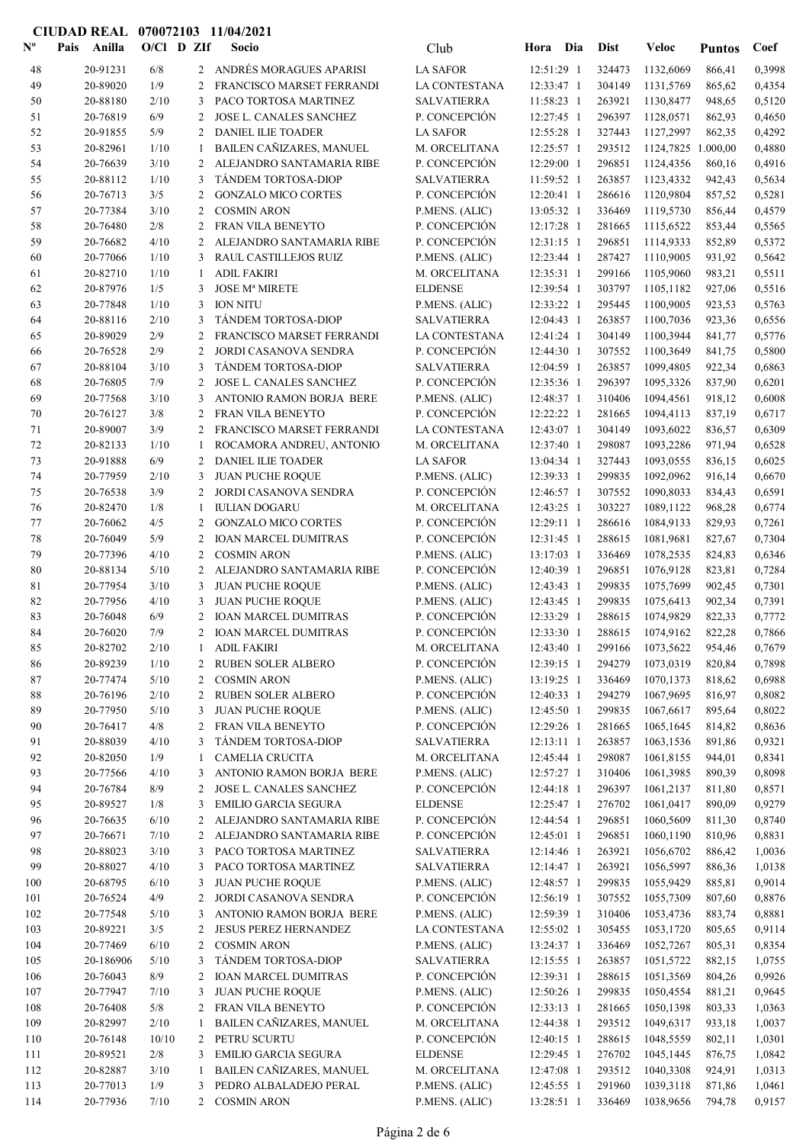| $\mathbf{N}^{\mathbf{o}}$ | Pais<br>Anilla       | $O/C1$ D ZIf |                | Socio                                              | Club                           | Hora                     | Dia        | <b>Dist</b>      | Veloc                  | <b>Puntos</b>    | Coef             |
|---------------------------|----------------------|--------------|----------------|----------------------------------------------------|--------------------------------|--------------------------|------------|------------------|------------------------|------------------|------------------|
| 48                        | 20-91231             | 6/8          |                | 2 ANDRÉS MORAGUES APARISI                          | <b>LA SAFOR</b>                | 12:51:29 1               |            | 324473           | 1132,6069              | 866,41           | 0,3998           |
| 49                        | 20-89020             | 1/9          | 2              | FRANCISCO MARSET FERRANDI                          | <b>LA CONTESTANA</b>           | 12:33:47 1               |            | 304149           | 1131,5769              | 865,62           | 0,4354           |
| 50                        | 20-88180             | 2/10         | 3              | PACO TORTOSA MARTINEZ                              | <b>SALVATIERRA</b>             | 11:58:23 1               |            | 263921           | 1130,8477              | 948,65           | 0,5120           |
| 51                        | 20-76819             | 6/9          | 2              | JOSE L. CANALES SANCHEZ                            | P. CONCEPCIÓN                  | 12:27:45 1               |            | 296397           | 1128,0571              | 862,93           | 0,4650           |
| 52                        | 20-91855             | 5/9          | 2              | <b>DANIEL ILIE TOADER</b>                          | <b>LA SAFOR</b>                | 12:55:28 1               |            | 327443           | 1127,2997              | 862,35           | 0,4292           |
| 53                        | 20-82961             | 1/10         | 1              | BAILEN CAÑIZARES, MANUEL                           | M. ORCELITANA                  | 12:25:57 1               |            | 293512           | 1124,7825 1.000,00     |                  | 0,4880           |
| 54                        | 20-76639             | 3/10         | 2              | ALEJANDRO SANTAMARIA RIBE                          | P. CONCEPCIÓN                  | 12:29:00 1               |            | 296851           | 1124,4356              | 860,16           | 0,4916           |
| 55                        | 20-88112             | 1/10         | 3              | TÁNDEM TORTOSA-DIOP                                | <b>SALVATIERRA</b>             | 11:59:52 1               |            | 263857           | 1123,4332              | 942,43           | 0,5634           |
| 56                        | 20-76713             | 3/5          | 2              | <b>GONZALO MICO CORTES</b>                         | P. CONCEPCIÓN                  | 12:20:41 1               |            | 286616           | 1120,9804              | 857,52           | 0,5281           |
| 57                        | 20-77384             | 3/10         | 2              | <b>COSMIN ARON</b>                                 | P.MENS. (ALIC)                 | 13:05:32 1               |            | 336469           | 1119,5730              | 856,44           | 0,4579           |
| 58                        | 20-76480             | $2/8$        | 2              | FRAN VILA BENEYTO                                  | P. CONCEPCIÓN                  | 12:17:28 1               |            | 281665           | 1115,6522              | 853,44           | 0,5565           |
| 59                        | 20-76682             | 4/10         | 2              | ALEJANDRO SANTAMARIA RIBE                          | P. CONCEPCIÓN                  | 12:31:15 1               |            | 296851           | 1114,9333              | 852,89           | 0,5372           |
| 60                        | 20-77066             | 1/10         | 3              | RAUL CASTILLEJOS RUIZ                              | P.MENS. (ALIC)                 | 12:23:44 1               |            | 287427           | 1110,9005              | 931,92           | 0,5642           |
| 61                        | 20-82710             | 1/10         | -1             | <b>ADIL FAKIRI</b>                                 | M. ORCELITANA                  | 12:35:31 1               |            | 299166           | 1105,9060              | 983,21           | 0,5511           |
| 62                        | 20-87976             | 1/5          | 3              | <b>JOSE Mª MIRETE</b>                              | <b>ELDENSE</b>                 | 12:39:54 1               |            | 303797           | 1105,1182              | 927,06           | 0,5516           |
| 63                        | 20-77848             | 1/10         | 3              | <b>ION NITU</b>                                    | P.MENS. (ALIC)                 | 12:33:22 1               |            | 295445           | 1100,9005              | 923,53           | 0,5763           |
| 64                        | 20-88116             | 2/10         | 3              | TÁNDEM TORTOSA-DIOP                                | <b>SALVATIERRA</b>             | 12:04:43 1               |            | 263857           | 1100,7036              | 923,36           | 0,6556           |
| 65                        | 20-89029             | 2/9          | 2              | FRANCISCO MARSET FERRANDI                          | LA CONTESTANA                  | 12:41:24 1               |            | 304149           | 1100,3944              | 841,77           | 0,5776           |
| 66                        | 20-76528             | 2/9          | 2              | JORDI CASANOVA SENDRA                              | P. CONCEPCIÓN                  | 12:44:30 1               |            | 307552           | 1100,3649              | 841,75           | 0,5800           |
| 67                        | 20-88104             | 3/10         | 3              | TÁNDEM TORTOSA-DIOP                                | <b>SALVATIERRA</b>             | 12:04:59 1               |            | 263857           | 1099,4805              | 922,34           | 0,6863           |
| 68                        | 20-76805             | 7/9          | 2              | JOSE L. CANALES SANCHEZ                            | P. CONCEPCIÓN                  | 12:35:36 1               |            | 296397           | 1095,3326              | 837,90           | 0,6201           |
| 69                        | 20-77568             | 3/10         | 3              | ANTONIO RAMON BORJA BERE                           | P.MENS. (ALIC)                 | 12:48:37 1               |            | 310406           | 1094,4561              | 918,12           | 0,6008           |
| 70                        | 20-76127             | 3/8          | 2              | FRAN VILA BENEYTO                                  | P. CONCEPCIÓN                  | 12:22:22 1               |            | 281665           | 1094,4113              | 837,19           | 0,6717           |
| 71                        | 20-89007             | 3/9          | 2              | FRANCISCO MARSET FERRANDI                          | LA CONTESTANA                  | 12:43:07 1               |            | 304149           | 1093,6022              | 836,57           | 0,6309           |
| 72                        | 20-82133             | 1/10         | $\mathbf{1}$   | ROCAMORA ANDREU, ANTONIO                           | M. ORCELITANA                  | 12:37:40 1               |            | 298087           | 1093,2286              | 971,94           | 0,6528           |
| 73                        | 20-91888             | 6/9          | 2              | <b>DANIEL ILIE TOADER</b>                          | <b>LA SAFOR</b>                | 13:04:34 1               |            | 327443           | 1093,0555              | 836,15           | 0,6025           |
| 74                        | 20-77959             | 2/10         | 3              | <b>JUAN PUCHE ROQUE</b>                            | P.MENS. (ALIC)                 | 12:39:33 1               |            | 299835           | 1092,0962              | 916,14           | 0,6670           |
| 75                        | 20-76538             | 3/9          | 2              | JORDI CASANOVA SENDRA                              | P. CONCEPCIÓN                  | 12:46:57 1               |            | 307552           | 1090,8033              | 834,43           | 0,6591           |
| 76<br>77                  | 20-82470<br>20-76062 | 1/8<br>4/5   | -1             | <b>IULIAN DOGARU</b><br><b>GONZALO MICO CORTES</b> | M. ORCELITANA<br>P. CONCEPCIÓN | 12:43:25 1<br>12:29:11 1 |            | 303227<br>286616 | 1089,1122<br>1084,9133 | 968,28<br>829,93 | 0,6774<br>0,7261 |
| 78                        | 20-76049             | 5/9          | 2<br>2         | <b>IOAN MARCEL DUMITRAS</b>                        | P. CONCEPCIÓN                  | 12:31:45 1               |            | 288615           | 1081,9681              | 827,67           | 0,7304           |
| 79                        | 20-77396             | 4/10         | 2              | <b>COSMIN ARON</b>                                 | P.MENS. (ALIC)                 | 13:17:03 1               |            | 336469           | 1078,2535              | 824,83           | 0,6346           |
| 80                        | 20-88134             | 5/10         | 2              | ALEJANDRO SANTAMARIA RIBE                          | P. CONCEPCIÓN                  | 12:40:39 1               |            | 296851           | 1076,9128              | 823,81           | 0,7284           |
| 81                        | 20-77954             | 3/10         | 3              | <b>JUAN PUCHE ROQUE</b>                            | P.MENS. (ALIC)                 | 12:43:43 1               |            | 299835           | 1075,7699              | 902,45           | 0,7301           |
| 82                        | 20-77956             | 4/10         | 3              | JUAN PUCHE ROQUE                                   | P.MENS. (ALIC)                 | 12:43:45 1               |            | 299835           | 1075,6413              | 902,34           | 0,7391           |
| 83                        | 20-76048             | 6/9          | 2              | <b>IOAN MARCEL DUMITRAS</b>                        | P. CONCEPCIÓN                  | 12:33:29 1               |            | 288615           | 1074,9829              | 822,33           | 0,7772           |
| 84                        | 20-76020             | 7/9          | 2              | <b>IOAN MARCEL DUMITRAS</b>                        | P. CONCEPCIÓN                  | 12:33:30 1               |            | 288615           | 1074,9162              | 822,28           | 0,7866           |
| 85                        | 20-82702             | 2/10         | -1             | <b>ADIL FAKIRI</b>                                 | M. ORCELITANA                  |                          | 12:43:40 1 |                  | 299166 1073,5622       | 954,46           | 0,7679           |
| 86                        | 20-89239             | 1/10         |                | 2 RUBEN SOLER ALBERO                               | P. CONCEPCIÓN                  | 12:39:15 1               |            | 294279           | 1073,0319              | 820,84           | 0,7898           |
| 87                        | 20-77474             | 5/10         | 2              | <b>COSMIN ARON</b>                                 | P.MENS. (ALIC)                 | 13:19:25 1               |            | 336469           | 1070,1373              | 818,62           | 0,6988           |
| 88                        | 20-76196             | 2/10         |                | 2 RUBEN SOLER ALBERO                               | P. CONCEPCIÓN                  | 12:40:33 1               |            | 294279           | 1067,9695              | 816,97           | 0,8082           |
| 89                        | 20-77950             | 5/10         | 3              | <b>JUAN PUCHE ROQUE</b>                            | P.MENS. (ALIC)                 | 12:45:50 1               |            | 299835           | 1067,6617              | 895,64           | 0,8022           |
| 90                        | 20-76417             | 4/8          |                | 2 FRAN VILA BENEYTO                                | P. CONCEPCIÓN                  | 12:29:26 1               |            | 281665           | 1065,1645              | 814,82           | 0,8636           |
| 91                        | 20-88039             | 4/10         | 3              | TÁNDEM TORTOSA-DIOP                                | <b>SALVATIERRA</b>             | $12:13:11$ 1             |            | 263857           | 1063,1536              | 891,86           | 0,9321           |
| 92                        | 20-82050             | 1/9          | 1              | <b>CAMELIA CRUCITA</b>                             | M. ORCELITANA                  | 12:45:44 1               |            | 298087           | 1061,8155              | 944,01           | 0,8341           |
| 93                        | 20-77566             | 4/10         | 3              | ANTONIO RAMON BORJA BERE                           | P.MENS. (ALIC)                 | 12:57:27 1               |            | 310406           | 1061,3985              | 890,39           | 0,8098           |
| 94                        | 20-76784             | 8/9          | 2              | JOSE L. CANALES SANCHEZ                            | P. CONCEPCIÓN                  | 12:44:18 1               |            | 296397           | 1061,2137              | 811,80           | 0,8571           |
| 95                        | 20-89527             | 1/8          | 3              | <b>EMILIO GARCIA SEGURA</b>                        | <b>ELDENSE</b>                 | 12:25:47 1               |            | 276702           | 1061,0417              | 890,09           | 0,9279           |
| 96                        | 20-76635             | 6/10         | 2              | ALEJANDRO SANTAMARIA RIBE                          | P. CONCEPCIÓN                  | 12:44:54 1               |            | 296851           | 1060,5609              | 811,30           | 0,8740           |
| 97                        | 20-76671             | 7/10         | 2              | ALEJANDRO SANTAMARIA RIBE                          | P. CONCEPCIÓN                  | 12:45:01 1               |            | 296851           | 1060,1190              | 810,96           | 0,8831           |
| 98                        | 20-88023             | 3/10         | 3              | PACO TORTOSA MARTINEZ                              | <b>SALVATIERRA</b>             | 12:14:46 1               |            | 263921           | 1056,6702              | 886,42           | 1,0036           |
| 99                        | 20-88027             | 4/10         | 3              | PACO TORTOSA MARTINEZ                              | <b>SALVATIERRA</b>             | 12:14:47 1               |            | 263921           | 1056,5997              | 886,36           | 1,0138           |
| 100                       | 20-68795             | 6/10         | 3              | <b>JUAN PUCHE ROQUE</b>                            | P.MENS. (ALIC)                 | 12:48:57 1               |            | 299835           | 1055,9429              | 885,81           | 0,9014           |
| 101                       | 20-76524             | 4/9          | 2              | JORDI CASANOVA SENDRA                              | P. CONCEPCIÓN                  | 12:56:19 1               |            | 307552           | 1055,7309              | 807,60           | 0,8876           |
| 102                       | 20-77548             | 5/10         | 3              | ANTONIO RAMON BORJA BERE                           | P.MENS. (ALIC)                 | 12:59:39 1               |            | 310406           | 1053,4736              | 883,74           | 0,8881           |
| 103                       | 20-89221             | 3/5          | 2              | <b>JESUS PEREZ HERNANDEZ</b>                       | LA CONTESTANA                  | 12:55:02 1               |            | 305455           | 1053,1720              | 805,65           | 0,9114           |
| 104                       | 20-77469             | 6/10         | 2              | <b>COSMIN ARON</b>                                 | P.MENS. (ALIC)                 | 13:24:37 1               |            | 336469           | 1052,7267              | 805,31           | 0,8354           |
| 105                       | 20-186906            | 5/10         | 3              | TÁNDEM TORTOSA-DIOP                                | <b>SALVATIERRA</b>             | 12:15:55 1               |            | 263857           | 1051,5722              | 882,15           | 1,0755           |
| 106                       | 20-76043             | 8/9          | 2              | <b>IOAN MARCEL DUMITRAS</b>                        | P. CONCEPCIÓN                  | 12:39:31 1               |            | 288615           | 1051,3569              | 804,26           | 0,9926           |
| 107                       | 20-77947             | 7/10         | 3              | <b>JUAN PUCHE ROQUE</b>                            | P.MENS. (ALIC)                 | 12:50:26 1               |            | 299835           | 1050,4554              | 881,21           | 0,9645           |
| 108                       | 20-76408             | 5/8          | $\overline{2}$ | FRAN VILA BENEYTO                                  | P. CONCEPCIÓN                  | 12:33:13 1               |            | 281665           | 1050,1398              | 803,33           | 1,0363           |
| 109                       | 20-82997             | 2/10         | 1              | BAILEN CAÑIZARES, MANUEL                           | M. ORCELITANA                  | 12:44:38 1               |            | 293512           | 1049,6317              | 933,18           | 1,0037           |
| 110                       | 20-76148             | 10/10        | 2              | PETRU SCURTU                                       | P. CONCEPCIÓN                  | 12:40:15 1               |            | 288615           | 1048,5559              | 802,11           | 1,0301           |
| 111                       | 20-89521             | 2/8          | 3              | <b>EMILIO GARCIA SEGURA</b>                        | <b>ELDENSE</b>                 | 12:29:45 1               |            | 276702           | 1045,1445              | 876,75           | 1,0842           |
| 112                       | 20-82887             | 3/10         | 1              | BAILEN CAÑIZARES, MANUEL                           | M. ORCELITANA                  | 12:47:08 1               |            | 293512           | 1040,3308              | 924,91           | 1,0313           |
| 113                       | 20-77013             | 1/9          | 3              | PEDRO ALBALADEJO PERAL                             | P.MENS. (ALIC)                 | 12:45:55 1               |            | 291960           | 1039,3118              | 871,86           | 1,0461           |
| 114                       | 20-77936             | 7/10         |                | 2 COSMIN ARON                                      | P.MENS. (ALIC)                 | 13:28:51 1               |            | 336469           | 1038,9656              | 794,78           | 0,9157           |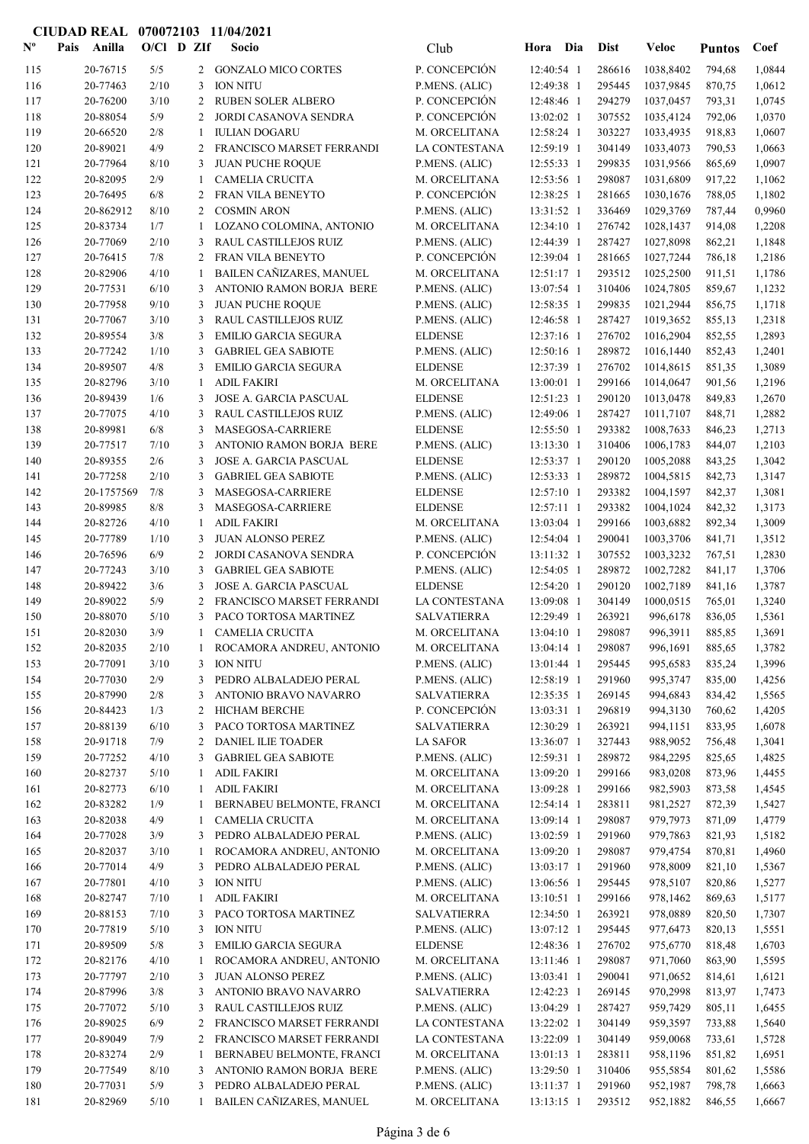| $\mathbf{N}^{\mathbf{o}}$ | Anilla<br>Pais        | $O/Cl$ D ZIf |              |              | Socio                                                     | Club                                 | Hora Dia                 |            | <b>Dist</b>      | Veloc                  | <b>Puntos</b>    | Coef             |
|---------------------------|-----------------------|--------------|--------------|--------------|-----------------------------------------------------------|--------------------------------------|--------------------------|------------|------------------|------------------------|------------------|------------------|
| 115                       | 20-76715              | 5/5          |              |              | 2 GONZALO MICO CORTES                                     | P. CONCEPCIÓN                        | 12:40:54 1               |            | 286616           | 1038,8402              | 794,68           | 1,0844           |
| 116                       | 20-77463              | 2/10         |              | 3            | <b>ION NITU</b>                                           | P.MENS. (ALIC)                       | 12:49:38 1               |            | 295445           | 1037,9845              | 870,75           | 1,0612           |
| 117                       | 20-76200              | 3/10         |              | 2            | RUBEN SOLER ALBERO                                        | P. CONCEPCIÓN                        | 12:48:46 1               |            | 294279           | 1037,0457              | 793,31           | 1,0745           |
| 118                       | 20-88054              | 5/9          |              | 2            | JORDI CASANOVA SENDRA                                     | P. CONCEPCIÓN                        | 13:02:02 1               |            | 307552           | 1035,4124              | 792,06           | 1,0370           |
| 119                       | 20-66520              | 2/8          |              | -1           | <b>IULIAN DOGARU</b>                                      | M. ORCELITANA                        | 12:58:24 1               |            | 303227           | 1033,4935              | 918,83           | 1,0607           |
| 120                       | 20-89021              | 4/9          |              | 2            | FRANCISCO MARSET FERRANDI                                 | LA CONTESTANA                        | 12:59:19 1               |            | 304149           | 1033,4073              | 790,53           | 1,0663           |
| 121                       | 20-77964              | 8/10         |              | 3            | <b>JUAN PUCHE ROQUE</b>                                   | P.MENS. (ALIC)                       | 12:55:33 1               |            | 299835           | 1031,9566              | 865,69           | 1,0907           |
| 122                       | 20-82095              | 2/9          |              | -1           | <b>CAMELIA CRUCITA</b>                                    | M. ORCELITANA                        | 12:53:56 1<br>12:38:25 1 |            | 298087           | 1031,6809              | 917,22           | 1,1062           |
| 123<br>124                | 20-76495<br>20-862912 | 6/8<br>8/10  |              | 2<br>2       | FRAN VILA BENEYTO<br><b>COSMIN ARON</b>                   | P. CONCEPCIÓN<br>P.MENS. (ALIC)      | 13:31:52 1               |            | 281665<br>336469 | 1030,1676<br>1029,3769 | 788,05<br>787,44 | 1,1802<br>0,9960 |
| 125                       | 20-83734              | 1/7          |              | -1           | LOZANO COLOMINA, ANTONIO                                  | M. ORCELITANA                        | $12:34:10$ 1             |            | 276742           | 1028,1437              | 914,08           | 1,2208           |
| 126                       | 20-77069              | 2/10         |              | 3            | RAUL CASTILLEJOS RUIZ                                     | P.MENS. (ALIC)                       | 12:44:39 1               |            | 287427           | 1027,8098              | 862,21           | 1,1848           |
| 127                       | 20-76415              | 7/8          |              | 2            | FRAN VILA BENEYTO                                         | P. CONCEPCIÓN                        | 12:39:04 1               |            | 281665           | 1027,7244              | 786,18           | 1,2186           |
| 128                       | 20-82906              | 4/10         |              | -1           | BAILEN CAÑIZARES, MANUEL                                  | M. ORCELITANA                        | $12:51:17$ 1             |            | 293512           | 1025,2500              | 911,51           | 1,1786           |
| 129                       | 20-77531              | 6/10         |              | 3            | ANTONIO RAMON BORJA BERE                                  | P.MENS. (ALIC)                       | 13:07:54 1               |            | 310406           | 1024,7805              | 859,67           | 1,1232           |
| 130                       | 20-77958              | 9/10         |              | 3            | <b>JUAN PUCHE ROQUE</b>                                   | P.MENS. (ALIC)                       | 12:58:35 1               |            | 299835           | 1021,2944              | 856,75           | 1,1718           |
| 131                       | 20-77067              | 3/10         |              | 3            | RAUL CASTILLEJOS RUIZ                                     | P.MENS. (ALIC)                       | 12:46:58 1               |            | 287427           | 1019,3652              | 855,13           | 1,2318           |
| 132                       | 20-89554              | 3/8          |              | 3            | <b>EMILIO GARCIA SEGURA</b>                               | <b>ELDENSE</b>                       | 12:37:16 1               |            | 276702           | 1016,2904              | 852,55           | 1,2893           |
| 133                       | 20-77242              | 1/10         |              | 3            | <b>GABRIEL GEA SABIOTE</b>                                | P.MENS. (ALIC)                       | 12:50:16 1               |            | 289872           | 1016,1440              | 852,43           | 1,2401           |
| 134                       | 20-89507              | 4/8          |              | 3            | <b>EMILIO GARCIA SEGURA</b>                               | <b>ELDENSE</b>                       | 12:37:39 1               |            | 276702           | 1014,8615              | 851,35           | 1,3089           |
| 135                       | 20-82796              | 3/10         |              | -1           | <b>ADIL FAKIRI</b>                                        | M. ORCELITANA                        | 13:00:01 1               |            | 299166           | 1014,0647              | 901,56           | 1,2196           |
| 136                       | 20-89439              | 1/6          |              | 3            | <b>JOSE A. GARCIA PASCUAL</b>                             | <b>ELDENSE</b>                       | $12:51:23$ 1             |            | 290120           | 1013,0478              | 849,83           | 1,2670           |
| 137                       | 20-77075              | 4/10         |              | 3            | RAUL CASTILLEJOS RUIZ                                     | P.MENS. (ALIC)                       | 12:49:06 1               |            | 287427           | 1011,7107              | 848,71           | 1,2882           |
| 138                       | 20-89981              | 6/8<br>7/10  |              | 3<br>3       | MASEGOSA-CARRIERE                                         | <b>ELDENSE</b>                       | $12:55:50$ 1             |            | 293382<br>310406 | 1008,7633              | 846,23           | 1,2713           |
| 139<br>140                | 20-77517<br>20-89355  | 2/6          |              | 3            | ANTONIO RAMON BORJA BERE<br><b>JOSE A. GARCIA PASCUAL</b> | P.MENS. (ALIC)<br><b>ELDENSE</b>     | 13:13:30 1<br>12:53:37 1 |            | 290120           | 1006,1783<br>1005,2088 | 844,07<br>843,25 | 1,2103<br>1,3042 |
| 141                       | 20-77258              | 2/10         |              | 3            | <b>GABRIEL GEA SABIOTE</b>                                | P.MENS. (ALIC)                       | 12:53:33 1               |            | 289872           | 1004,5815              | 842,73           | 1,3147           |
| 142                       | 20-1757569            | 7/8          |              | 3            | MASEGOSA-CARRIERE                                         | <b>ELDENSE</b>                       | 12:57:10 1               |            | 293382           | 1004,1597              | 842,37           | 1,3081           |
| 143                       | 20-89985              | 8/8          |              | 3            | MASEGOSA-CARRIERE                                         | <b>ELDENSE</b>                       | 12:57:11 1               |            | 293382           | 1004,1024              | 842,32           | 1,3173           |
| 144                       | 20-82726              | 4/10         |              | 1            | <b>ADIL FAKIRI</b>                                        | M. ORCELITANA                        | 13:03:04 1               |            | 299166           | 1003,6882              | 892,34           | 1,3009           |
| 145                       | 20-77789              | 1/10         |              | 3            | <b>JUAN ALONSO PEREZ</b>                                  | P.MENS. (ALIC)                       | $12:54:04$ 1             |            | 290041           | 1003,3706              | 841,71           | 1,3512           |
| 146                       | 20-76596              | 6/9          |              | 2            | JORDI CASANOVA SENDRA                                     | P. CONCEPCIÓN                        | 13:11:32 1               |            | 307552           | 1003,3232              | 767,51           | 1,2830           |
| 147                       | 20-77243              | 3/10         |              | 3            | <b>GABRIEL GEA SABIOTE</b>                                | P.MENS. (ALIC)                       | 12:54:05 1               |            | 289872           | 1002,7282              | 841,17           | 1,3706           |
| 148                       | 20-89422              | 3/6          |              | 3            | JOSE A. GARCIA PASCUAL                                    | <b>ELDENSE</b>                       | 12:54:20 1               |            | 290120           | 1002,7189              | 841,16           | 1,3787           |
| 149                       | 20-89022              | 5/9          |              | 2            | FRANCISCO MARSET FERRANDI                                 | LA CONTESTANA                        | 13:09:08 1               |            | 304149           | 1000,0515              | 765,01           | 1,3240           |
| 150                       | 20-88070              | 5/10         |              | 3            | PACO TORTOSA MARTINEZ                                     | <b>SALVATIERRA</b>                   | 12:29:49 1               |            | 263921           | 996,6178               | 836,05           | 1,5361           |
| 151                       | 20-82030              | 3/9          |              | 1            | CAMELIA CRUCITA                                           | M. ORCELITANA                        | $13:04:10$ 1             |            | 298087           | 996,3911               | 885,85           | 1,3691           |
| 152                       | 20-82035              | 2/10         |              | $\mathbf{1}$ | ROCAMORA ANDREU, ANTONIO                                  | M. ORCELITANA                        |                          | 13:04:14 1 | 298087           | 996,1691               | 885,65           | 1,3782           |
| 153<br>154                | 20-77091<br>20-77030  | 3/10<br>2/9  |              |              | 3 ION NITU<br>PEDRO ALBALADEJO PERAL                      | P.MENS. (ALIC)                       | 13:01:44 1               |            | 295445<br>291960 | 995,6583<br>995,3747   | 835,24<br>835,00 | 1,3996           |
| 155                       | 20-87990              | 2/8          |              | 3<br>3       | ANTONIO BRAVO NAVARRO                                     | P.MENS. (ALIC)<br><b>SALVATIERRA</b> | 12:58:19 1<br>12:35:35 1 |            | 269145           | 994,6843               | 834,42           | 1,4256<br>1,5565 |
| 156                       | 20-84423              | 1/3          |              | 2            | <b>HICHAM BERCHE</b>                                      | P. CONCEPCIÓN                        | 13:03:31 1               |            | 296819           | 994,3130               | 760,62           | 1,4205           |
| 157                       | 20-88139              |              | 6/10         | 3            | PACO TORTOSA MARTINEZ                                     | SALVATIERRA                          | 12:30:29 1               |            | 263921           | 994,1151               | 833,95           | 1,6078           |
| 158                       | 20-91718              | 7/9          |              | 2            | DANIEL ILIE TOADER                                        | <b>LA SAFOR</b>                      | 13:36:07 1               |            | 327443           | 988,9052               | 756,48           | 1,3041           |
| 159                       | 20-77252              | 4/10         |              | 3            | <b>GABRIEL GEA SABIOTE</b>                                | P.MENS. (ALIC)                       | 12:59:31 1               |            | 289872           | 984,2295               | 825,65           | 1,4825           |
| 160                       | 20-82737              | 5/10         |              | 1            | <b>ADIL FAKIRI</b>                                        | M. ORCELITANA                        | 13:09:20 1               |            | 299166           | 983,0208               | 873,96           | 1,4455           |
| 161                       | 20-82773              |              | 6/10         | -1           | <b>ADIL FAKIRI</b>                                        | M. ORCELITANA                        | 13:09:28 1               |            | 299166           | 982,5903               | 873,58           | 1,4545           |
| 162                       | 20-83282              | 1/9          |              | 1            | BERNABEU BELMONTE, FRANCI                                 | M. ORCELITANA                        | 12:54:14 1               |            | 283811           | 981,2527               | 872,39           | 1,5427           |
| 163                       | 20-82038              | 4/9          |              | 1            | <b>CAMELIA CRUCITA</b>                                    | M. ORCELITANA                        | 13:09:14 1               |            | 298087           | 979,7973               | 871,09           | 1,4779           |
| 164                       | 20-77028              | 3/9          |              | 3            | PEDRO ALBALADEJO PERAL                                    | P.MENS. (ALIC)                       | 13:02:59 1               |            | 291960           | 979,7863               | 821,93           | 1,5182           |
| 165                       | 20-82037              | 3/10         |              | -1           | ROCAMORA ANDREU, ANTONIO                                  | M. ORCELITANA                        | 13:09:20 1               |            | 298087           | 979,4754               | 870,81           | 1,4960           |
| 166                       | 20-77014              | 4/9          |              | 3            | PEDRO ALBALADEJO PERAL                                    | P.MENS. (ALIC)                       | 13:03:17 1               |            | 291960           | 978,8009               | 821,10           | 1,5367           |
| 167                       | 20-77801              |              | 4/10         | 3            | <b>ION NITU</b>                                           | P.MENS. (ALIC)                       | 13:06:56 1               |            | 295445           | 978,5107               | 820,86           | 1,5277           |
| 168                       | 20-82747              | 7/10         |              | 1            | <b>ADIL FAKIRI</b>                                        | M. ORCELITANA                        | 13:10:51 1               |            | 299166           | 978,1462               | 869,63           | 1,5177           |
| 169<br>170                | 20-88153<br>20-77819  |              | 7/10<br>5/10 | 3            | PACO TORTOSA MARTINEZ<br><b>ION NITU</b>                  | SALVATIERRA<br>P.MENS. (ALIC)        | 12:34:50 1<br>13:07:12 1 |            | 263921<br>295445 | 978,0889<br>977,6473   | 820,50<br>820,13 | 1,7307<br>1,5551 |
| 171                       | 20-89509              | 5/8          |              | 3            | <b>EMILIO GARCIA SEGURA</b>                               | <b>ELDENSE</b>                       | 12:48:36 1               |            | 276702           | 975,6770               | 818,48           | 1,6703           |
| 172                       | 20-82176              | 4/10         |              | -1           | ROCAMORA ANDREU, ANTONIO                                  | M. ORCELITANA                        | 13:11:46 1               |            | 298087           | 971,7060               | 863,90           | 1,5595           |
| 173                       | 20-77797              | 2/10         |              | 3            | JUAN ALONSO PEREZ                                         | P.MENS. (ALIC)                       | 13:03:41 1               |            | 290041           | 971,0652               | 814,61           | 1,6121           |
| 174                       | 20-87996              | 3/8          |              | 3            | ANTONIO BRAVO NAVARRO                                     | <b>SALVATIERRA</b>                   | 12:42:23 1               |            | 269145           | 970,2998               | 813,97           | 1,7473           |
| 175                       | 20-77072              |              | 5/10         | 3            | RAUL CASTILLEJOS RUIZ                                     | P.MENS. (ALIC)                       | 13:04:29 1               |            | 287427           | 959,7429               | 805,11           | 1,6455           |
| 176                       | 20-89025              | 6/9          |              | 2            | FRANCISCO MARSET FERRANDI                                 | LA CONTESTANA                        | 13:22:02 1               |            | 304149           | 959,3597               | 733,88           | 1,5640           |
| 177                       | 20-89049              | 7/9          |              | 2            | FRANCISCO MARSET FERRANDI                                 | LA CONTESTANA                        | 13:22:09 1               |            | 304149           | 959,0068               | 733,61           | 1,5728           |
| 178                       | 20-83274              | 2/9          |              | 1            | BERNABEU BELMONTE, FRANCI                                 | M. ORCELITANA                        | 13:01:13 1               |            | 283811           | 958,1196               | 851,82           | 1,6951           |
| 179                       | 20-77549              | 8/10         |              | 3            | ANTONIO RAMON BORJA BERE                                  | P.MENS. (ALIC)                       | 13:29:50 1               |            | 310406           | 955,5854               | 801,62           | 1,5586           |
| 180                       | 20-77031              | 5/9          |              | 3            | PEDRO ALBALADEJO PERAL                                    | P.MENS. (ALIC)                       | 13:11:37 1               |            | 291960           | 952,1987               | 798,78           | 1,6663           |
| 181                       | 20-82969              |              | 5/10         | -1           | BAILEN CAÑIZARES, MANUEL                                  | M. ORCELITANA                        | $13:13:15$ 1             |            | 293512           | 952,1882               | 846,55           | 1,6667           |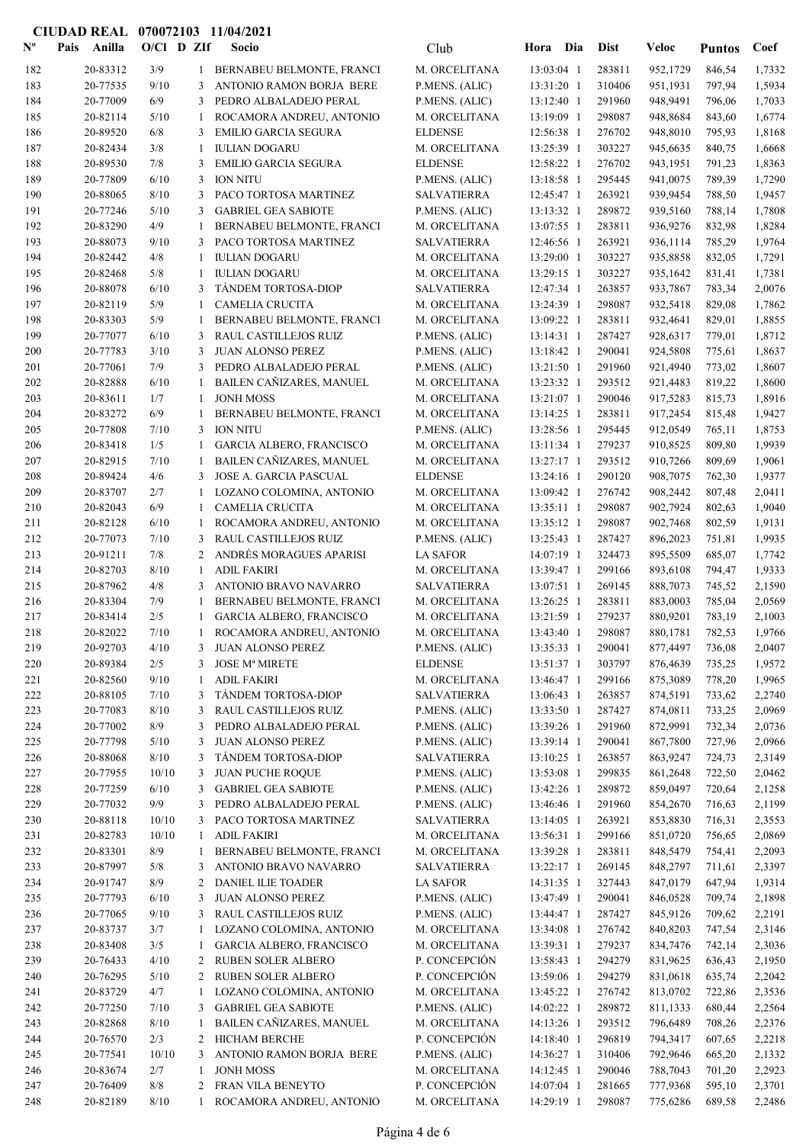#### Nº Pais Anilla O/Cl D ZIf Socio Club Hora Dia Dist Veloc Pais Anilla Socio O/Cl D ZIf Coef Club Dist Puntos 182 BERNABEU BELMONTE, FRANCI 20-83312 13:03:04 1 283811 3/9 1 1,7332 M. ORCELITANA 952,1729 846,54 183 **20-77535** 9/10 3 ANTONIO RAMON BORJA BERE P.MENS. (ALIC) 13:31:20 1 310406 951,1931 797,94 1,5934 184 20-77009 6/9 3 PEDRO ALBALADEJO PERAL P.MENS. (ALIC) 13:12:40 1 291960 948,9491 796,06 1,7033 185 20-82114 5/10 1 ROCAMORA ANDREU, ANTONIO M. ORCELITANA 13:19:09 1 298087 948,8684 843,60 1,6774 186 20-89520 6/8 3 EMILIO GARCIA SEGURA ELDENSE 12:56:38 1 276702 948,8010 795,93 1,8168 187 20-82434 3/8 1 IULIAN DOGARU M. ORCELITANA 13:25:39 1 303227 945,6635 840,75 1,6668 188 20-89530 7/8 3 EMILIO GARCIA SEGURA ELDENSE 12:58:22 1 276702 943,1951 791,23 1,8363 189 20-77809 6/10 3 ION NITU P.MENS. (ALIC) 13:18:58 1 295445 941,0075 789,39 1,7290 190 PACO TORTOSA MARTINEZ 20-88065 12:45:47 1 263921 8/10 3 1,9457 SALVATIERRA 939,9454 788,50 191 GABRIEL GEA SABIOTE 20-77246 13:13:32 1 289872 5/10 3 1,7808 P.MENS. (ALIC) 939,5160 788,14 192 20-83290 4/9 1 BERNABEU BELMONTE, FRANCI M ORCELITANA 13:07:55 1 283811 936-9276 832-98 1.8284 193 PACO TORTOSA MARTINEZ 20-88073 12:46:56 1 263921 9/10 3 1,9764 SALVATIERRA 936,1114 785,29 194 20-82442 4/8 1 IULIAN DOGARU M. ORCELITANA 13:29:00 1 303227 935,8858 832,05 1,7291 195 20-82468 5/8 1 IULIAN DOGARU M. ORCELITANA 13:29:15 1 303227 935,1642 831,41 1,7381 196 TÁNDEM TORTOSA-DIOP 20-88078 12:47:34 1 263857 6/10 3 2,0076 SALVATIERRA 933,7867 783,34 197 20-82119 5/9 1 CAMELIA CRUCITA 13:04:39 1 298087 932,5418 829,08 1,7862 198 20-83303 5/9 1 BERNABEU BELMONTE, FRANCI M. ORCELITANA 13:09:22 1 283811 932.4641 829.01 1,8855 199 20-77077 6/10 3 RAUL CASTILLEJOS RUIZ P.MENS. (ALIC) 13:14:31 1 287427 928,6317 779,01 1,8712 200 20-77783 3/10 3 JUAN ALONSO PEREZ P.MENS. (ALIC) 13:18:42 1 290041 924,5808 775,61 1,8637 201 **20-77061** 7/9 3 PEDRO ALBALADEJO PERAL P.MENS. (ALIC) 13:21:50 1 291960 921.4940 773.02 1.8607 202 20-82888 6/10 1 BAILEN CAÑIZARES, MANUEL M. ORCELITANA 13:23:32 1 293512 921.4483 819.22 1.8600 203 20-83611 1/7 1 JONH MOSS M. ORCELITANA 13:21:07 1 290046 917,5283 815,73 1,8916 204 20-83272 6/9 1 BERNABEU BELMONTE, FRANCI M. ORCELITANA 13:14:25 1 283811 917.2454 815.48 1.9427 205 20-77808 7/10 3 ION NITU P.MENS. (ALIC) 13:28:56 1 295445 912,0549 765,11 1,8753 206 20-83418 1/5 1 GARCIA ALBERO, FRANCISCO M. ORCELITANA 13:11:34 1 279237 910,8525 809,80 1,9939 207 20-82915 7/10 1 BAILEN CAÑIZARES, MANUEL M. ORCELITANA 13:27:17 1 293512 910,7266 809,69 1,9061 208 20-89424 4/6 3 JOSE A. GARCIA PASCUAL ELDENSE 13:24:16 1 290120 908,7075 762.30 1.9377 209 20-83707 2/7 1 LOZANO COLOMINA, ANTONIO M. ORCELITANA 13:09:42 1 276742 908,2442 807,48 2,0411 210 20-82043 6/9 1 CAMELIA CRUCITA M. ORCELITANA 13:35:11 1 298087 902,7924 802,63 1,9040 211 20-82128 6/10 1 ROCAMORA ANDREU, ANTONIO M. ORCELITANA 13:35:12 1 298087 902,7468 802,59 1,9131 212 20-77073 7/10 3 RAUL CASTILLEJOS RUIZ P.MENS. (ALIC) 13:25:43 1 287427 896.2023 751.81 1.9935 213 20-91211 7/8 2 ANDRÉS MORAGUES APARISI LA SAFOR 14:07:19 1 324473 895,5509 685,07 1,7742 214 20-82703 8/10 1 ADIL FAKIRI M. ORCELITANA 13:39:47 1 299166 893,6108 794,47 1,9333 215 20-87962 4/8 3 ANTONIO BRAVO NAVARRO SALVATIERRA 13:07:51 1 269145 888,7073 745,52 2,1590 216 20-83304 7/9 1 BERNABEU BELMONTE, FRANCI M. ORCELITANA 13:26:25 1 283811 883,0003 785,04 2,0569 217 20-83414 2/5 1 GARCIA ALBERO, FRANCISCO M. ORCELITANA 13:21:59 1 279237 880,9201 783,19 2,1003 218 20-82022 7/10 1 ROCAMORA ANDREU, ANTONIO M. ORCELITANA 13:43:40 1 298087 880,1781 782,53 1,9766 219 20-92703 4/10 3 JUAN ALONSO PEREZ P.MENS. (ALIC) 13:35:33 1 290041 877,4497 736.08 2,0407 220 20-89384 2/5 3 JOSE Mª MIRETE ELDENSE 13:51:37 1 303797 876,4639 735,25 1,9572 221 20-82560 9/10 1 ADIL FAKIRI M. ORCELITANA 13:46:47 1 299166 875,3089 778,20 1,9965 222 20-88105 7/10 3 TÁNDEM TORTOSA-DIOP SALVATIERRA 13:06:43 1 263857 874,5191 733,62 2,2740 223 223 20-77083 8/10 3 RAUL CASTILLEJOS RUIZ P.MENS. (ALIC) 13:33:50 1 287427 874.0811 733.25 2.0969 224 20-77002 8/9 3 PEDRO ALBALADEJO PERAL P.MENS. (ALIC) 13:39:26 1 291960 872.9991 732.34 2.0736 225 20-77798 5/10 3 JUAN ALONSO PEREZ P.MENS. (ALIC) 13:39:14 1 290041 867,7800 727,96 2,0966 226 20-88068 8/10 3 TÁNDEM TORTOSA-DIOP SALVATIERRA 13:10:25 1 263857 863,9247 724,73 2,3149 227 20-77955 10/10 3 JUAN PUCHE ROQUE 20-80. P.MENS. (ALIC) 13:53:08 1 299835 861,2648 722,50 2,0462 228 20-77259 6/10 3 GABRIEL GEA SABIOTE P.MENS. (ALIC) 13:42:26 1 289872 859,0497 720,64 2,1258 229 20-77032 9/9 3 PEDRO ALBALADEJO PERAL P.MENS. (ALIC) 13:46:46 1 291960 854,2670 716,63 2,1199 230 20-88118 10/10 3 PACO TORTOSA MARTINEZ SALVATIERRA 13:14:05 1 263921 853,8830 716,31 2,3553 231 20-82783 10/10 1 ADIL FAKIRI 1 M. ORCELITANA 13:56:31 1 299166 851,0720 756,65 2,0869 232 232 20-83301 8/9 1 BERNABEU BELMONTE, FRANCI M. ORCELITANA 13:39:28 1 283811 848,5479 754.41 2.2093 233 233 20-87997 5/8 3 ANTONIO BRAVO NAVARRO SALVATIERRA 13:22:17 1 269145 848,2797 711,61 2,3397 234 20-91747 8/9 2 DANIEL ILIE TOADER LA SAFOR 14:31:35 1 327443 847,0179 647,94 1,9314 235 20-77793 6/10 3 JUAN ALONSO PEREZ P.MENS. (ALIC) 13:47:49 1 290041 846,0528 709,74 2,1898 236 20-77065 9/10 3 RAUL CASTILLEJOS RUIZ P.MENS. (ALIC) 13:44:47 1 287427 845,9126 709,62 2,2191 237 20-83737 3/7 1 LOZANO COLOMINA, ANTONIO M. ORCELITANA 13:34:08 1 276742 840,8203 747,54 2,3146 238 238 20-83408 3/5 1 GARCIA ALBERO, FRANCISCO M. ORCELITANA 13:39:31 1 279237 834,7476 742,14 2,3036 239 20-76433 4/10 2 RUBEN SOLER ALBERO P. CONCEPCIÓN 13:58:43 1 294279 831,9625 636.43 2,1950 240 20-76295 5/10 2 RUBEN SOLER ALBERO P. CONCEPCIÓN 13:59:06 1 294279 831.0618 635.74 2.2042 241 20-83729 4/7 1 LOZANO COLOMINA, ANTONIO M. ORCELITANA 13:45:22 1 276742 813.0702 722.86 2.3536 242 20-77250 7/10 3 GABRIEL GEA SABIOTE 2. P.MENS. (ALIC) 14:02:22 1 289872 811,1333 680.44 2.2564 243 20-82868 8/10 1 BAILEN CAÑIZARES, MANUEL M. ORCELITANA 14:13:26 1 293512 796.6489 708.26 2.2376 244 20-76570 2/3 2 HICHAM BERCHE P. CONCEPCIÓN 14:18:40 1 296819 794,3417 607,65 2,2218 245 20-77541 10/10 3 ANTONIO RAMON BORJA BERE P.MENS. (ALIC) 14:36:27 1 310406 792,9646 665,20 2,1332 246 20-83674 2/7 1 JONH MOSS M. ORCELITANA 14:12:45 1 290046 788,7043 701,20 2,2923 247 20-76409 8/8 2 FRAN VILA BENEYTO P. CONCEPCIÓN 14:07:04 1 281665 777,9368 595,10 2,3701 248 20-82189 8/10 1 ROCAMORA ANDREU, ANTONIO M. ORCELITANA 14:29:19 1 298087 775,6286 689,58 2,2486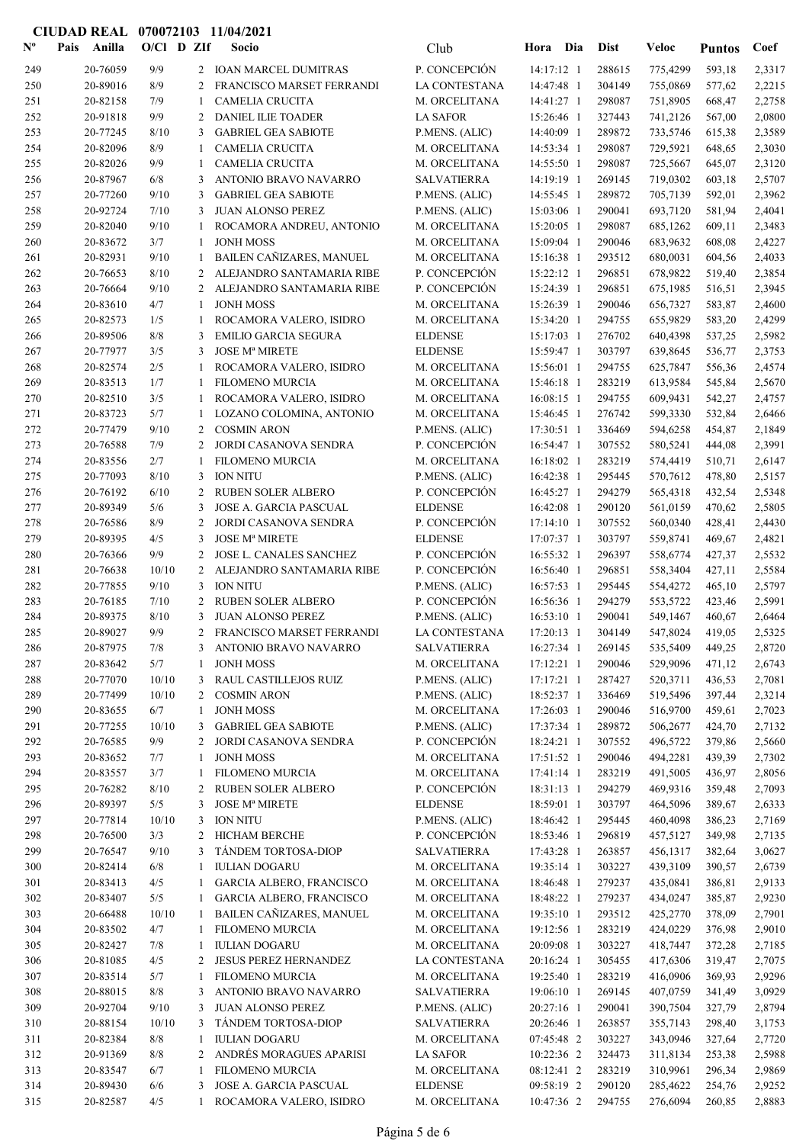| $N^{\circ}$ | Pais<br>Anilla       | O/Cl D ZIf   |  |                | Socio                                                   | Club                                | Hora Dia                 | <b>Dist</b>      | <b>Veloc</b>         | <b>Puntos</b>    | Coef             |
|-------------|----------------------|--------------|--|----------------|---------------------------------------------------------|-------------------------------------|--------------------------|------------------|----------------------|------------------|------------------|
| 249         | 20-76059             | 9/9          |  | $\mathbf{2}$   | <b>IOAN MARCEL DUMITRAS</b>                             | P. CONCEPCIÓN                       | 14:17:12 1               | 288615           | 775,4299             | 593,18           | 2,3317           |
| 250         | 20-89016             | 8/9          |  | 2              | FRANCISCO MARSET FERRANDI                               | <b>LA CONTESTANA</b>                | 14:47:48 1               | 304149           | 755,0869             | 577,62           | 2,2215           |
| 251         | 20-82158             | 7/9          |  | 1              | <b>CAMELIA CRUCITA</b>                                  | M. ORCELITANA                       | 14:41:27 1               | 298087           | 751,8905             | 668,47           | 2,2758           |
| 252         | 20-91818             | 9/9          |  | 2              | DANIEL ILIE TOADER                                      | <b>LA SAFOR</b>                     | 15:26:46 1               | 327443           | 741,2126             | 567,00           | 2,0800           |
| 253         | 20-77245             | 8/10         |  | 3              | <b>GABRIEL GEA SABIOTE</b>                              | P.MENS. (ALIC)                      | 14:40:09 1               | 289872           | 733,5746             | 615,38           | 2,3589           |
| 254         | 20-82096             | 8/9          |  | 1              | <b>CAMELIA CRUCITA</b>                                  | M. ORCELITANA                       | 14:53:34 1               | 298087           | 729,5921             | 648,65           | 2,3030           |
| 255         | 20-82026             | 9/9          |  | 1              | <b>CAMELIA CRUCITA</b>                                  | M. ORCELITANA                       | 14:55:50 1               | 298087           | 725,5667             | 645,07           | 2,3120           |
| 256         | 20-87967             | 6/8          |  | 3              | ANTONIO BRAVO NAVARRO<br><b>GABRIEL GEA SABIOTE</b>     | <b>SALVATIERRA</b>                  | 14:19:19 1               | 269145           | 719,0302             | 603,18           | 2,5707           |
| 257<br>258  | 20-77260<br>20-92724 | 9/10<br>7/10 |  | 3<br>3         | <b>JUAN ALONSO PEREZ</b>                                | P.MENS. (ALIC)<br>P.MENS. (ALIC)    | 14:55:45 1<br>15:03:06 1 | 289872<br>290041 | 705,7139<br>693,7120 | 592,01<br>581,94 | 2,3962<br>2,4041 |
| 259         | 20-82040             | 9/10         |  | 1              | ROCAMORA ANDREU, ANTONIO                                | M. ORCELITANA                       | 15:20:05 1               | 298087           | 685,1262             | 609,11           | 2,3483           |
| 260         | 20-83672             | 3/7          |  | 1              | <b>JONH MOSS</b>                                        | M. ORCELITANA                       | 15:09:04 1               | 290046           | 683,9632             | 608,08           | 2,4227           |
| 261         | 20-82931             | 9/10         |  | $\mathbf{1}$   | BAILEN CAÑIZARES, MANUEL                                | M. ORCELITANA                       | 15:16:38 1               | 293512           | 680,0031             | 604,56           | 2,4033           |
| 262         | 20-76653             | 8/10         |  | 2              | ALEJANDRO SANTAMARIA RIBE                               | P. CONCEPCIÓN                       | 15:22:12 1               | 296851           | 678,9822             | 519,40           | 2,3854           |
| 263         | 20-76664             | 9/10         |  | 2              | ALEJANDRO SANTAMARIA RIBE                               | P. CONCEPCIÓN                       | 15:24:39 1               | 296851           | 675,1985             | 516,51           | 2,3945           |
| 264         | 20-83610             | 4/7          |  | 1              | <b>JONH MOSS</b>                                        | M. ORCELITANA                       | 15:26:39 1               | 290046           | 656,7327             | 583,87           | 2,4600           |
| 265         | 20-82573             | 1/5          |  | 1              | ROCAMORA VALERO, ISIDRO                                 | M. ORCELITANA                       | 15:34:20 1               | 294755           | 655,9829             | 583,20           | 2,4299           |
| 266         | 20-89506             | 8/8          |  | 3              | <b>EMILIO GARCIA SEGURA</b>                             | <b>ELDENSE</b>                      | 15:17:03 1               | 276702           | 640,4398             | 537,25           | 2,5982           |
| 267         | 20-77977             | 3/5          |  | 3              | <b>JOSE Mª MIRETE</b>                                   | <b>ELDENSE</b>                      | 15:59:47 1               | 303797           | 639,8645             | 536,77           | 2,3753           |
| 268         | 20-82574             | 2/5          |  | 1              | ROCAMORA VALERO, ISIDRO                                 | M. ORCELITANA                       | 15:56:01 1               | 294755           | 625,7847             | 556,36           | 2,4574           |
| 269         | 20-83513             | 1/7          |  | 1              | <b>FILOMENO MURCIA</b>                                  | M. ORCELITANA                       | 15:46:18 1               | 283219           | 613,9584             | 545,84           | 2,5670           |
| 270         | 20-82510             | 3/5          |  | 1              | ROCAMORA VALERO, ISIDRO                                 | M. ORCELITANA                       | 16:08:15 1               | 294755           | 609,9431             | 542,27           | 2,4757           |
| 271         | 20-83723             | 5/7          |  | 1              | LOZANO COLOMINA, ANTONIO                                | M. ORCELITANA                       | 15:46:45 1               | 276742           | 599,3330             | 532,84           | 2,6466           |
| 272<br>273  | 20-77479<br>20-76588 | 9/10<br>7/9  |  | 2<br>2         | <b>COSMIN ARON</b><br>JORDI CASANOVA SENDRA             | P.MENS. (ALIC)<br>P. CONCEPCIÓN     | 17:30:51 1<br>16:54:47 1 | 336469<br>307552 | 594,6258<br>580,5241 | 454,87<br>444,08 | 2,1849<br>2,3991 |
| 274         | 20-83556             | 2/7          |  | 1              | FILOMENO MURCIA                                         | M. ORCELITANA                       | $16:18:02$ 1             | 283219           | 574,4419             | 510,71           | 2,6147           |
| 275         | 20-77093             | 8/10         |  | 3              | <b>ION NITU</b>                                         | P.MENS. (ALIC)                      | 16:42:38 1               | 295445           | 570,7612             | 478,80           | 2,5157           |
| 276         | 20-76192             | 6/10         |  | 2              | RUBEN SOLER ALBERO                                      | P. CONCEPCIÓN                       | 16:45:27 1               | 294279           | 565,4318             | 432,54           | 2,5348           |
| 277         | 20-89349             | 5/6          |  | 3              | JOSE A. GARCIA PASCUAL                                  | <b>ELDENSE</b>                      | 16:42:08 1               | 290120           | 561,0159             | 470,62           | 2,5805           |
| 278         | 20-76586             | 8/9          |  | 2              | JORDI CASANOVA SENDRA                                   | P. CONCEPCIÓN                       | 17:14:10 1               | 307552           | 560,0340             | 428,41           | 2,4430           |
| 279         | 20-89395             | 4/5          |  | 3              | <b>JOSE Mª MIRETE</b>                                   | <b>ELDENSE</b>                      | 17:07:37 1               | 303797           | 559,8741             | 469,67           | 2,4821           |
| 280         | 20-76366             | 9/9          |  | 2              | <b>JOSE L. CANALES SANCHEZ</b>                          | P. CONCEPCIÓN                       | 16:55:32 1               | 296397           | 558,6774             | 427,37           | 2,5532           |
| 281         | 20-76638             | 10/10        |  | 2              | ALEJANDRO SANTAMARIA RIBE                               | P. CONCEPCIÓN                       | 16:56:40 1               | 296851           | 558,3404             | 427,11           | 2,5584           |
| 282         | 20-77855             | 9/10         |  | 3              | <b>ION NITU</b>                                         | P.MENS. (ALIC)                      | 16:57:53 1               | 295445           | 554,4272             | 465,10           | 2,5797           |
| 283         | 20-76185             | 7/10         |  | 2              | RUBEN SOLER ALBERO                                      | P. CONCEPCIÓN                       | 16:56:36 1               | 294279           | 553,5722             | 423,46           | 2,5991           |
| 284         | 20-89375             | 8/10         |  | 3              | JUAN ALONSO PEREZ                                       | P.MENS. (ALIC)                      | 16:53:10 1               | 290041           | 549,1467             | 460,67           | 2,6464           |
| 285         | 20-89027             | 9/9          |  | $\overline{2}$ | FRANCISCO MARSET FERRANDI                               | LA CONTESTANA                       | 17:20:13 1               | 304149           | 547,8024             | 419,05           | 2,5325           |
| 286         | 20-87975             | $7/8$        |  | $\mathbf{3}$   | ANTONIO BRAVO NAVARRO                                   | <b>SALVATIERRA</b><br>M. ORCELITANA | 16:27:34 1               | 269145<br>290046 | 535,5409 449,25      | 471,12           | 2,8720           |
| 287<br>288  | 20-83642<br>20-77070 | 5/7<br>10/10 |  | 1<br>3         | <b>JONH MOSS</b><br>RAUL CASTILLEJOS RUIZ               | P.MENS. (ALIC)                      | 17:12:21 1<br>17:17:21 1 | 287427           | 529,9096<br>520,3711 | 436,53           | 2,6743<br>2,7081 |
| 289         | 20-77499             | 10/10        |  | 2              | <b>COSMIN ARON</b>                                      | P.MENS. (ALIC)                      | 18:52:37 1               | 336469           | 519,5496             | 397,44           | 2,3214           |
| 290         | 20-83655             | 6/7          |  | 1              | <b>JONH MOSS</b>                                        | M. ORCELITANA                       | 17:26:03 1               | 290046           | 516,9700             | 459,61           | 2,7023           |
| 291         | 20-77255             | 10/10        |  | 3              | <b>GABRIEL GEA SABIOTE</b>                              | P.MENS. (ALIC)                      | 17:37:34 1               | 289872           | 506,2677             | 424,70           | 2,7132           |
| 292         | 20-76585             | 9/9          |  | 2              | JORDI CASANOVA SENDRA                                   | P. CONCEPCIÓN                       | 18:24:21 1               | 307552           | 496,5722             | 379,86           | 2,5660           |
| 293         | 20-83652             | 7/7          |  | 1              | <b>JONH MOSS</b>                                        | M. ORCELITANA                       | 17:51:52 1               | 290046           | 494,2281             | 439,39           | 2,7302           |
| 294         | 20-83557             | 3/7          |  | 1              | <b>FILOMENO MURCIA</b>                                  | M. ORCELITANA                       | 17:41:14 1               | 283219           | 491,5005             | 436,97           | 2,8056           |
| 295         | 20-76282             | 8/10         |  | 2              | <b>RUBEN SOLER ALBERO</b>                               | P. CONCEPCIÓN                       | 18:31:13 1               | 294279           | 469,9316             | 359,48           | 2,7093           |
| 296         | 20-89397             | 5/5          |  | 3              | <b>JOSE Mª MIRETE</b>                                   | <b>ELDENSE</b>                      | 18:59:01 1               | 303797           | 464,5096             | 389,67           | 2,6333           |
| 297         | 20-77814             | 10/10        |  | 3              | <b>ION NITU</b>                                         | P.MENS. (ALIC)                      | 18:46:42 1               | 295445           | 460,4098             | 386,23           | 2,7169           |
| 298         | 20-76500             | 3/3          |  | 2              | <b>HICHAM BERCHE</b>                                    | P. CONCEPCIÓN                       | 18:53:46 1               | 296819           | 457,5127             | 349,98           | 2,7135           |
| 299         | 20-76547             | 9/10         |  | 3              | TÁNDEM TORTOSA-DIOP                                     | <b>SALVATIERRA</b>                  | 17:43:28 1               | 263857           | 456,1317             | 382,64           | 3,0627           |
| 300         | 20-82414<br>20-83413 | 6/8<br>4/5   |  | 1              | <b>IULIAN DOGARU</b><br><b>GARCIA ALBERO, FRANCISCO</b> | M. ORCELITANA<br>M. ORCELITANA      | 19:35:14 1<br>18:46:48 1 | 303227<br>279237 | 439,3109             | 390,57<br>386,81 | 2,6739           |
| 301<br>302  | 20-83407             | 5/5          |  | 1<br>1         | GARCIA ALBERO, FRANCISCO                                | M. ORCELITANA                       | 18:48:22 1               | 279237           | 435,0841<br>434,0247 | 385,87           | 2,9133<br>2,9230 |
| 303         | 20-66488             | 10/10        |  | 1              | BAILEN CAÑIZARES, MANUEL                                | M. ORCELITANA                       | 19:35:10 1               | 293512           | 425,2770             | 378,09           | 2,7901           |
| 304         | 20-83502             | 4/7          |  | 1              | FILOMENO MURCIA                                         | M. ORCELITANA                       | 19:12:56 1               | 283219           | 424,0229             | 376,98           | 2,9010           |
| 305         | 20-82427             | 7/8          |  | 1              | <b>IULIAN DOGARU</b>                                    | M. ORCELITANA                       | 20:09:08 1               | 303227           | 418,7447             | 372,28           | 2,7185           |
| 306         | 20-81085             | 4/5          |  | 2              | JESUS PEREZ HERNANDEZ                                   | LA CONTESTANA                       | 20:16:24 1               | 305455           | 417,6306             | 319,47           | 2,7075           |
| 307         | 20-83514             | 5/7          |  | 1              | <b>FILOMENO MURCIA</b>                                  | M. ORCELITANA                       | 19:25:40 1               | 283219           | 416,0906             | 369,93           | 2,9296           |
| 308         | 20-88015             | 8/8          |  | 3              | ANTONIO BRAVO NAVARRO                                   | <b>SALVATIERRA</b>                  | 19:06:10 1               | 269145           | 407,0759             | 341,49           | 3,0929           |
| 309         | 20-92704             | 9/10         |  | 3              | JUAN ALONSO PEREZ                                       | P.MENS. (ALIC)                      | 20:27:16 1               | 290041           | 390,7504             | 327,79           | 2,8794           |
| 310         | 20-88154             | 10/10        |  | 3              | TÁNDEM TORTOSA-DIOP                                     | <b>SALVATIERRA</b>                  | 20:26:46 1               | 263857           | 355,7143             | 298,40           | 3,1753           |
| 311         | 20-82384             | 8/8          |  | 1              | <b>IULIAN DOGARU</b>                                    | M. ORCELITANA                       | 07:45:48 2               | 303227           | 343,0946             | 327,64           | 2,7720           |
| 312         | 20-91369             | $8/8$        |  | 2              | ANDRÉS MORAGUES APARISI                                 | <b>LA SAFOR</b>                     | 10:22:36 2               | 324473           | 311,8134             | 253,38           | 2,5988           |
| 313         | 20-83547             | 6/7          |  | 1              | <b>FILOMENO MURCIA</b>                                  | M. ORCELITANA                       | 08:12:41 2               | 283219           | 310,9961             | 296,34           | 2,9869           |
| 314         | 20-89430             | 6/6          |  | 3              | <b>JOSE A. GARCIA PASCUAL</b>                           | <b>ELDENSE</b>                      | 09:58:19 2               | 290120           | 285,4622             | 254,76           | 2,9252           |
| 315         | 20-82587             | 4/5          |  | 1              | ROCAMORA VALERO, ISIDRO                                 | M. ORCELITANA                       | 10:47:36 2               | 294755           | 276,6094             | 260,85           | 2,8883           |